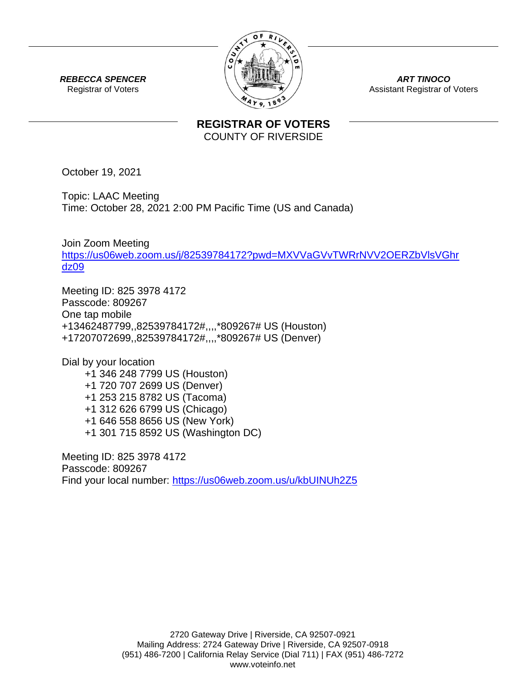

*ART TINOCO* Assistant Registrar of Voters

*REBECCA SPENCER* Registrar of Voters

## **REGISTRAR OF VOTERS** COUNTY OF RIVERSIDE

October 19, 2021

Topic: LAAC Meeting Time: October 28, 2021 2:00 PM Pacific Time (US and Canada)

Join Zoom Meeting [https://us06web.zoom.us/j/82539784172?pwd=MXVVaGVvTWRrNVV2OERZbVlsVGhr](https://us06web.zoom.us/j/82539784172?pwd=MXVVaGVvTWRrNVV2OERZbVlsVGhrdz09) [dz09](https://us06web.zoom.us/j/82539784172?pwd=MXVVaGVvTWRrNVV2OERZbVlsVGhrdz09)

Meeting ID: 825 3978 4172 Passcode: 809267 One tap mobile +13462487799,,82539784172#,,,,\*809267# US (Houston) +17207072699,,82539784172#,,,,\*809267# US (Denver)

Dial by your location +1 346 248 7799 US (Houston) +1 720 707 2699 US (Denver) +1 253 215 8782 US (Tacoma) +1 312 626 6799 US (Chicago) +1 646 558 8656 US (New York) +1 301 715 8592 US (Washington DC)

Meeting ID: 825 3978 4172 Passcode: 809267 Find your local number:<https://us06web.zoom.us/u/kbUINUh2Z5>